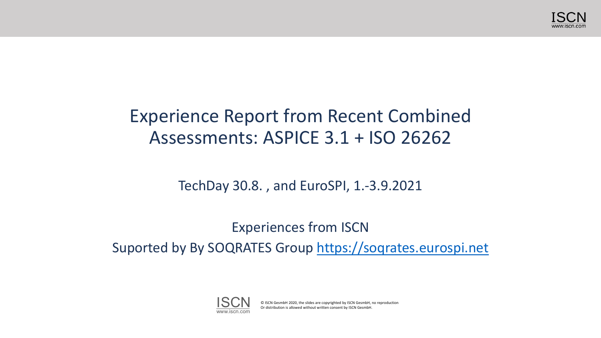

### Experience Report from Recent Combined Assessments: ASPICE 3.1 + ISO 26262

TechDay 30.8. , and EuroSPI, 1.-3.9.2021

Experiences from ISCN Suported by By SOQRATES Group [https://soqrates.eurospi.net](https://soqrates.eurospi.net/)



© ISCN GesmbH 2020, the slides are copyrighted by ISCN GesmbH, no reproduction Or distribution is allowed without written consent by ISCN GesmbH.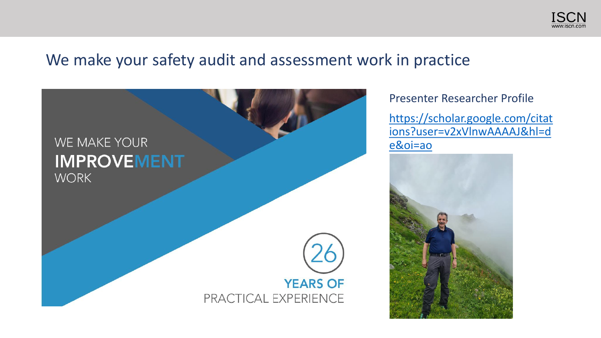

#### We make your safety audit and assessment work in practice



Presenter Researcher Profile

https://scholar.google.com/citat [ions?user=v2xVlnwAAAAJ&hl=d](https://scholar.google.com/citations?user=v2xVlnwAAAAJ&hl=de&oi=ao) e&oi=ao

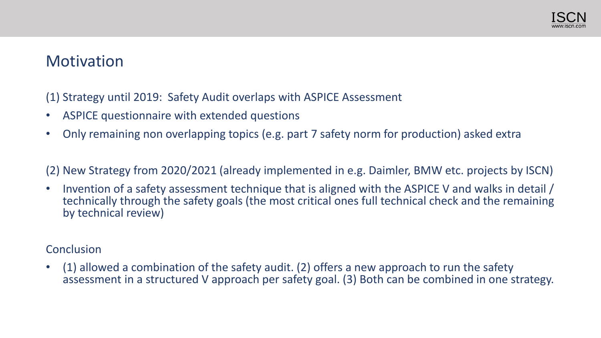

### **Motivation**

(1) Strategy until 2019: Safety Audit overlaps with ASPICE Assessment

- ASPICE questionnaire with extended questions
- Only remaining non overlapping topics (e.g. part 7 safety norm for production) asked extra

(2) New Strategy from 2020/2021 (already implemented in e.g. Daimler, BMW etc. projects by ISCN)

• Invention of a safety assessment technique that is aligned with the ASPICE V and walks in detail / technically through the safety goals (the most critical ones full technical check and the remaining by technical review)

#### **Conclusion**

 $(1)$  allowed a combination of the safety audit. (2) offers a new approach to run the safety assessment in a structured V approach per safety goal. (3) Both can be combined in one strategy.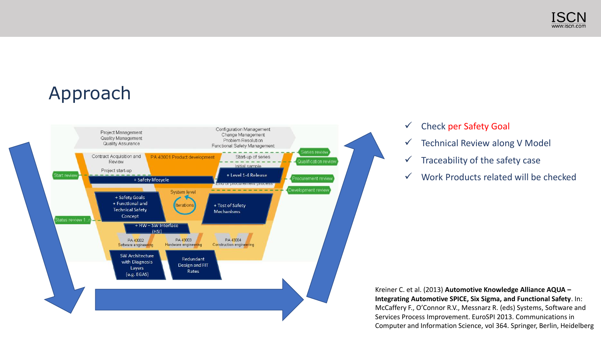

### Approach



#### ✓ Check per Safety Goal

- $\checkmark$  Technical Review along V Model
- $\checkmark$  Traceability of the safety case
- ✓ Work Products related will be checked

Kreiner C. et al. (2013) **Automotive Knowledge Alliance AQUA – Integrating Automotive SPICE, Six Sigma, and Functional Safety**. In: McCaffery F., O'Connor R.V., Messnarz R. (eds) Systems, Software and Services Process Improvement. EuroSPI 2013. Communications in Computer and Information Science, vol 364. Springer, Berlin, Heidelberg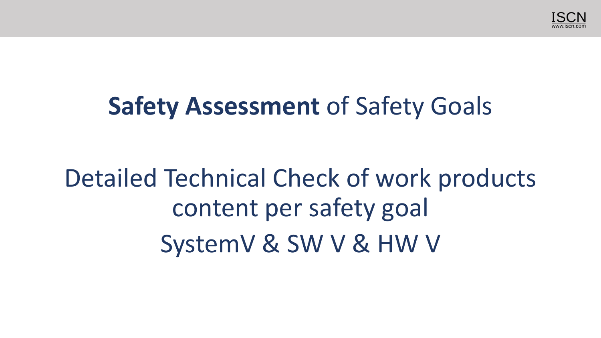

## **Safety Assessment of Safety Goals**

# Detailed Technical Check of work products content per safety goal SystemV & SW V & HW V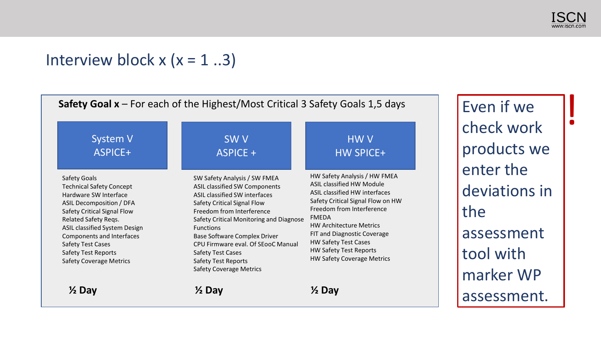

### Interview block  $x$  ( $x = 1$ ..3)

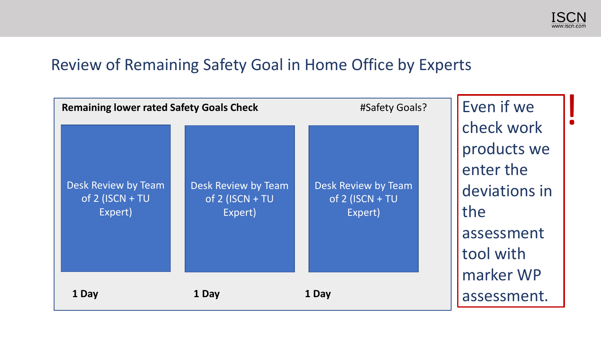

### Review of Remaining Safety Goal in Home Office by Experts

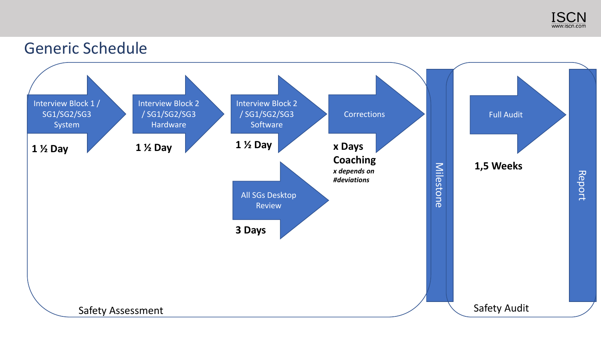

#### Generic Schedule

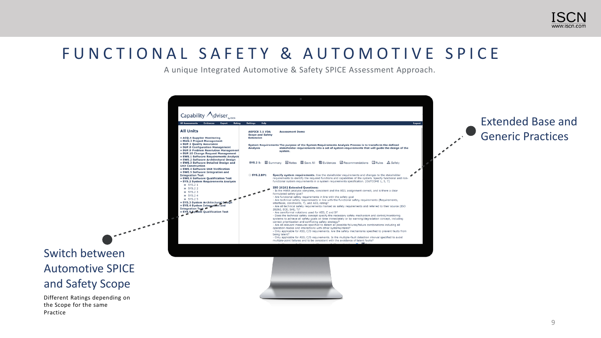

### FUNCTIONAL SAFETY & AUTOMOTIVE SPICE

Practice

A unique Integrated Automotive & Safety SPICE Assessment Approach.

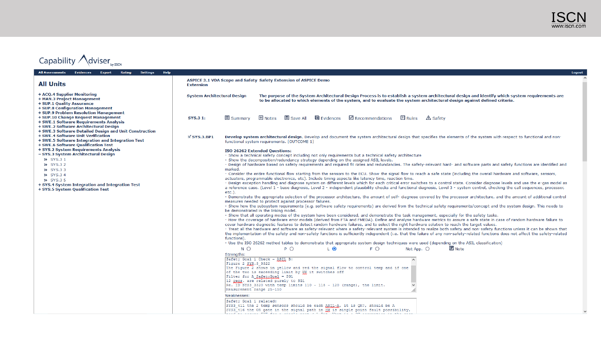

#### Capability  $\bigwedge$  dviser<sub>by ISCN</sub>

| All Assessments Evidences Export<br>Help<br>Rating<br>Settings                                                                                                                  |                                                                                                                                                                                                                                                                                                                                                                                                                                                                                                                  | Logout                                                                                                                                                                                                                                                                                                                                                                                                                                                                          |  |  |  |  |  |  |
|---------------------------------------------------------------------------------------------------------------------------------------------------------------------------------|------------------------------------------------------------------------------------------------------------------------------------------------------------------------------------------------------------------------------------------------------------------------------------------------------------------------------------------------------------------------------------------------------------------------------------------------------------------------------------------------------------------|---------------------------------------------------------------------------------------------------------------------------------------------------------------------------------------------------------------------------------------------------------------------------------------------------------------------------------------------------------------------------------------------------------------------------------------------------------------------------------|--|--|--|--|--|--|
| <b>All Units</b>                                                                                                                                                                | <b>Extension</b>                                                                                                                                                                                                                                                                                                                                                                                                                                                                                                 | ASPICE 3.1 VDA Scope and Safety Safety Extension of ASPICE Demo                                                                                                                                                                                                                                                                                                                                                                                                                 |  |  |  |  |  |  |
| + ACQ.4 Supplier Monitoring<br>+ MAN.3 Project Management<br>+ SUP.1 Quality Assurance<br>+ SUP.8 Configuration Management<br>+ SUP.9 Problem Resolution Management             | <b>System Architectural Design</b>                                                                                                                                                                                                                                                                                                                                                                                                                                                                               | The purpose of the System Architectural Design Process is to establish a system architectural design and identify which system requirements are<br>to be allocated to which elements of the system, and to evaluate the system architectural design against defined criteria.                                                                                                                                                                                                   |  |  |  |  |  |  |
| + SUP.10 Change Request Management<br>+ SWE.1 Software Requirements Analysis<br>+ SWE.2 Software Architectural Design<br>+ SWE.3 Software Detailed Design and Unit Construction | SYS.3 1:                                                                                                                                                                                                                                                                                                                                                                                                                                                                                                         | ■ Save All ■ Evidences ■ Recommendations ■ Rules △ Safety<br>$\boxplus$ Notes<br><b>国 Summary</b>                                                                                                                                                                                                                                                                                                                                                                               |  |  |  |  |  |  |
| + SWE.4 Software Unit Verification<br>+ SWE.5 Software Integration and Integration Test<br>+ SWE.6 Software Qualification Test<br>+ SYS.2 System Requirements Analysis          | $\mathbb{K}$ SYS.3.BP1                                                                                                                                                                                                                                                                                                                                                                                                                                                                                           | Develop system architectural design. Develop and document the system architectural design that specifies the elements of the system with respect to functional and non-<br>functional system requirements. [OUTCOME 1]<br><b>ISO 26262 Extended Questions:</b>                                                                                                                                                                                                                  |  |  |  |  |  |  |
| - SYS.3 System Architectural Design<br>>> SYS.3 1                                                                                                                               |                                                                                                                                                                                                                                                                                                                                                                                                                                                                                                                  | - Show a technical safety concept including not only requirements but a technical safety architecture<br>- Show the decomposition/redundancy strategy depending on the assigned ASIL levels.                                                                                                                                                                                                                                                                                    |  |  |  |  |  |  |
| >> SYS.3 2<br>>> SYS.33                                                                                                                                                         | marked.                                                                                                                                                                                                                                                                                                                                                                                                                                                                                                          | - Design of hardware based on safety requirements and required fit rates and redundancies. The safety-relevant hard- and software parts and safety functions are identified and<br>- Consider the entire functional flow starting from the sensors to the ECU. Show the signal flow to reach a safe state (including the overall hardware and software, sensors,                                                                                                                |  |  |  |  |  |  |
| >> SYS.34<br>>> SYS.3 5<br>+ SYS.4 System Integration and Integration Test<br>+ SYS.5 System Qualification Test                                                                 |                                                                                                                                                                                                                                                                                                                                                                                                                                                                                                                  | actuators, programmable electronics, etc). Include timing aspects like latency time, reaction time.<br>- Design exception handling and diagnose system on different levels which for each critical error switches to a control state. Consider diagnose levels and use the e-gas model as<br>a reference case. (Level 1 - base diagnosis, Level 2 - independent plausibility checks and functional diagnosis, Level 3 - system control, checking the call sequences, processor, |  |  |  |  |  |  |
|                                                                                                                                                                                 | $etc.$ ).<br>- Demonstrate the appropriate selection of the processor architecture, the amount of self- diagnose covered by the processor architecture, and the amount of additional control<br>measures needed to protect against processor failures.<br>- Show how the subsystem requirements (e.g. software safety requirements) are derived from the technical safety requirements/concept and the system design. This needs to                                                                              |                                                                                                                                                                                                                                                                                                                                                                                                                                                                                 |  |  |  |  |  |  |
|                                                                                                                                                                                 | be demonstrated in the linking model.<br>- Show that all operating modes of the system have been considered, and demonstrate the task management, especially for the safety tasks.<br>- How the coverage of hardware error models (derived from FTA and FMEDA). Define and analyse hardware metrics to assure a safe state in case of random hardware failure to<br>cover hardware diagnostic features to detect random hardware failures, and to select the right hardware solution to reach the target values. |                                                                                                                                                                                                                                                                                                                                                                                                                                                                                 |  |  |  |  |  |  |
|                                                                                                                                                                                 | functions).                                                                                                                                                                                                                                                                                                                                                                                                                                                                                                      | - Treat all the hardware and software as safety-relevant where a safety-relevant system is intended to realize both safety and non-safety functions unless it can be shown that<br>the implementation of the safety and non-safety functions is sufficiently independent (i.e. that the failure of any non-safety-related functions does not affect the safety-related                                                                                                          |  |  |  |  |  |  |
|                                                                                                                                                                                 |                                                                                                                                                                                                                                                                                                                                                                                                                                                                                                                  | - Use the ISO 26262 method tables to demonstrate that appropriate system design techniques were used (depending on the ASIL classification)                                                                                                                                                                                                                                                                                                                                     |  |  |  |  |  |  |
|                                                                                                                                                                                 | Strengths:                                                                                                                                                                                                                                                                                                                                                                                                                                                                                                       | ■ Note<br>N O<br>$P$ $\bigcirc$<br>F O<br>Not App. $\bigcirc$<br>L O                                                                                                                                                                                                                                                                                                                                                                                                            |  |  |  |  |  |  |
|                                                                                                                                                                                 |                                                                                                                                                                                                                                                                                                                                                                                                                                                                                                                  | Safety Goal 1 Check - ASIL B:<br>$\wedge$<br>Figure 2 SYS.3 9322<br>The Figure 2 shows in yellow and red the signal flow to control temp and if one<br>of the two is exceeding limit by HM it switches off<br>Filter for A SafetyGoal = SG1<br>12 regg. are related purely to SG1<br>Re. ID SYS3 3320 with temp limits 110 - 115 - 120 (range), the limit.<br>Measurement range 25-150                                                                                          |  |  |  |  |  |  |
|                                                                                                                                                                                 |                                                                                                                                                                                                                                                                                                                                                                                                                                                                                                                  | Weaknesses:                                                                                                                                                                                                                                                                                                                                                                                                                                                                     |  |  |  |  |  |  |
|                                                                                                                                                                                 |                                                                                                                                                                                                                                                                                                                                                                                                                                                                                                                  | Safety Goal 1 related:<br>SYS3 411 the 2 temp sensors should be each ASIL-A, it is QM?, should be A<br>SYS3 <sup>-</sup> 416 the OR gate in the signal path in HM is single point fault possibility,                                                                                                                                                                                                                                                                            |  |  |  |  |  |  |
|                                                                                                                                                                                 |                                                                                                                                                                                                                                                                                                                                                                                                                                                                                                                  | <u> Literaria comunicare do controla comunicación de la controlada de la comunicación de esta comun</u>                                                                                                                                                                                                                                                                                                                                                                         |  |  |  |  |  |  |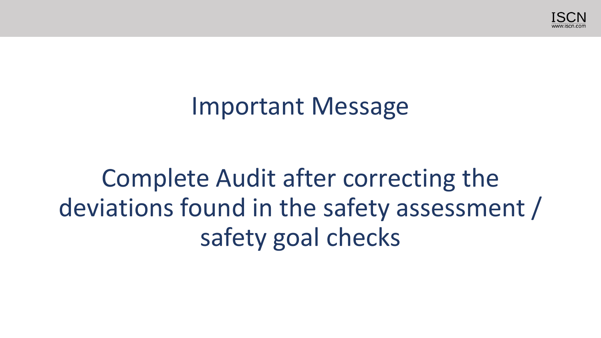

### Important Message

# Complete Audit after correcting the deviations found in the safety assessment / safety goal checks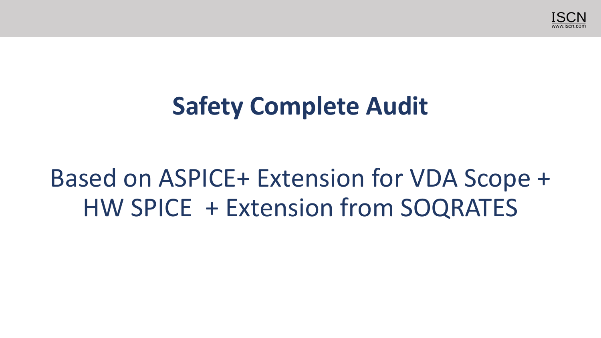

## **Safety Complete Audit**

## Based on ASPICE+ Extension for VDA Scope + HW SPICE + Extension from SOQRATES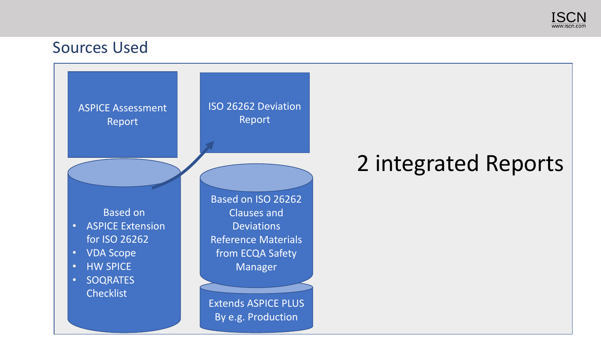

#### Sources Used

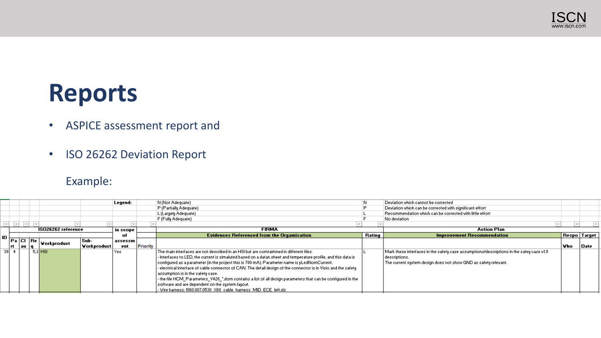

### **Reports**

- ASPICE assessment report and
- ISO 26262 Deviation Report

#### Example:

|                    |       |             |             | Legend: |              | N (Not Adequate)                                                                                                |                    | Deviation which cannot be corrected                                                      |                     |      |
|--------------------|-------|-------------|-------------|---------|--------------|-----------------------------------------------------------------------------------------------------------------|--------------------|------------------------------------------------------------------------------------------|---------------------|------|
|                    |       |             |             |         |              | P (Partially Adequate)                                                                                          |                    | Deviation which can be corrected with significant effort                                 |                     |      |
|                    |       |             |             |         |              | L (Largely Adequate)                                                                                            |                    | Recommendation which can be corrected with little effort                                 |                     |      |
|                    |       |             |             |         |              | F (Fully Adequate)                                                                                              |                    | No deviation                                                                             |                     |      |
|                    |       |             |             |         |              |                                                                                                                 |                    |                                                                                          |                     |      |
| ISO26262 reference |       |             | in scope    |         | <b>FIRMA</b> |                                                                                                                 | <b>Action Plan</b> |                                                                                          |                     |      |
|                    |       |             |             | oŀ      |              | <b>Evidences Referenced from the Orgamisation</b>                                                               | Rating             | <b>Improvement Recommendation</b>                                                        | <b>Respo</b> Target |      |
| Pa Cl Re           |       |             | Sub-        | assessm |              |                                                                                                                 |                    |                                                                                          |                     |      |
|                    | au  q | Vorkproduct | Vorkproduct | ent     | Priority     |                                                                                                                 |                    |                                                                                          | l Vho               | Date |
|                    |       | $5,3$ HSI   |             | Yes     |              | . The main interfaces are not described in an HSI but are comtaimned in different files                         |                    | Mark these interfaces in the safety case assumptions/descriptions in the safey case v1.9 |                     |      |
|                    |       |             |             |         |              | - Interfaces to LED, the current is simaluted based on a datan sheet and temperature profile, and this data is  |                    | descriptions.                                                                            |                     |      |
|                    |       |             |             |         |              | configured as a parameter (in the project this is 780 mA). Parameter name is pLedNomCurrent.                    |                    | The current system design does not show GND as safety relevant.                          |                     |      |
|                    |       |             |             |         |              | - electrical interface of cable connector of CAN. The detail design of the connector is in Visio and the safety |                    |                                                                                          |                     |      |
|                    |       |             |             |         |              | assumption is in the safety case.                                                                               |                    |                                                                                          |                     |      |
|                    |       |             |             |         |              | - the file HCM_Parameters_V426_",xlsm contains a list of all design parameters that can be configured in the    |                    |                                                                                          |                     |      |
|                    |       |             |             |         |              | software and are dependent on the system layout.                                                                |                    |                                                                                          |                     |      |
|                    |       |             |             |         |              | - Wire harness: 1060.007.0530 X60 cable harness MID ECE left.xls                                                |                    |                                                                                          |                     |      |
|                    |       |             |             |         |              |                                                                                                                 |                    |                                                                                          |                     |      |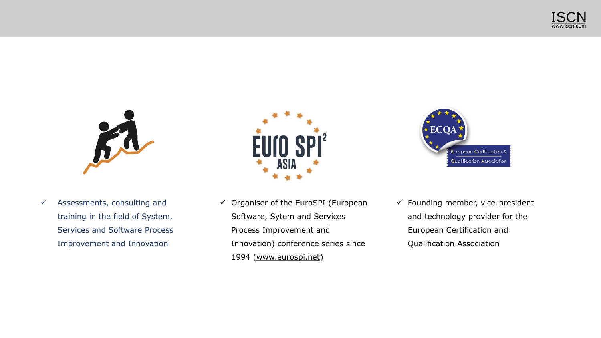



 $\checkmark$  Assessments, consulting and training in the field of System, Services and Software Process Improvement and Innovation



✓ Organiser of the EuroSPI (European Software, Sytem and Services Process Improvement and Innovation) conference series since 1994 [\(www.eurospi.net\)](http://www.eurospi.net/)



 $\checkmark$  Founding member, vice-president and technology provider for the European Certification and Qualification Association